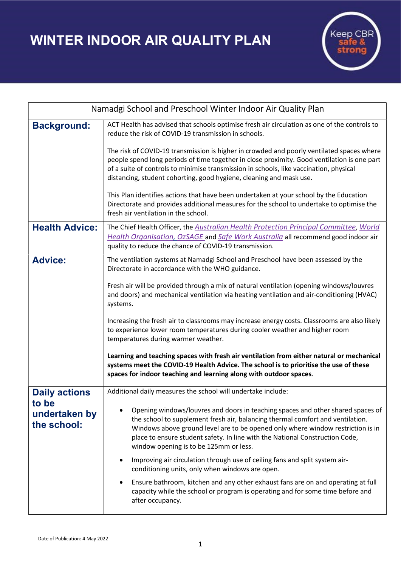WINTER INDOOR AIR QUALITY PLAN



| Namadgi School and Preschool Winter Indoor Air Quality Plan |                                                                                                                                                                                                                                                                                                                                                                                |
|-------------------------------------------------------------|--------------------------------------------------------------------------------------------------------------------------------------------------------------------------------------------------------------------------------------------------------------------------------------------------------------------------------------------------------------------------------|
| <b>Background:</b>                                          | ACT Health has advised that schools optimise fresh air circulation as one of the controls to<br>reduce the risk of COVID-19 transmission in schools.                                                                                                                                                                                                                           |
|                                                             | The risk of COVID-19 transmission is higher in crowded and poorly ventilated spaces where<br>people spend long periods of time together in close proximity. Good ventilation is one part<br>of a suite of controls to minimise transmission in schools, like vaccination, physical<br>distancing, student cohorting, good hygiene, cleaning and mask use.                      |
|                                                             | This Plan identifies actions that have been undertaken at your school by the Education<br>Directorate and provides additional measures for the school to undertake to optimise the<br>fresh air ventilation in the school.                                                                                                                                                     |
| <b>Health Advice:</b>                                       | The Chief Health Officer, the Australian Health Protection Principal Committee, World<br>Health Organisation, OzSAGE and Safe Work Australia all recommend good indoor air<br>quality to reduce the chance of COVID-19 transmission.                                                                                                                                           |
| <b>Advice:</b>                                              | The ventilation systems at Namadgi School and Preschool have been assessed by the<br>Directorate in accordance with the WHO guidance.                                                                                                                                                                                                                                          |
|                                                             | Fresh air will be provided through a mix of natural ventilation (opening windows/louvres<br>and doors) and mechanical ventilation via heating ventilation and air-conditioning (HVAC)<br>systems.                                                                                                                                                                              |
|                                                             | Increasing the fresh air to classrooms may increase energy costs. Classrooms are also likely<br>to experience lower room temperatures during cooler weather and higher room<br>temperatures during warmer weather.                                                                                                                                                             |
|                                                             | Learning and teaching spaces with fresh air ventilation from either natural or mechanical<br>systems meet the COVID-19 Health Advice. The school is to prioritise the use of these<br>spaces for indoor teaching and learning along with outdoor spaces.                                                                                                                       |
| <b>Daily actions</b>                                        | Additional daily measures the school will undertake include:                                                                                                                                                                                                                                                                                                                   |
| to be<br>undertaken by<br>the school:                       | Opening windows/louvres and doors in teaching spaces and other shared spaces of<br>the school to supplement fresh air, balancing thermal comfort and ventilation.<br>Windows above ground level are to be opened only where window restriction is in<br>place to ensure student safety. In line with the National Construction Code,<br>window opening is to be 125mm or less. |
|                                                             | Improving air circulation through use of ceiling fans and split system air-<br>conditioning units, only when windows are open.                                                                                                                                                                                                                                                 |
|                                                             | Ensure bathroom, kitchen and any other exhaust fans are on and operating at full<br>$\bullet$<br>capacity while the school or program is operating and for some time before and<br>after occupancy.                                                                                                                                                                            |